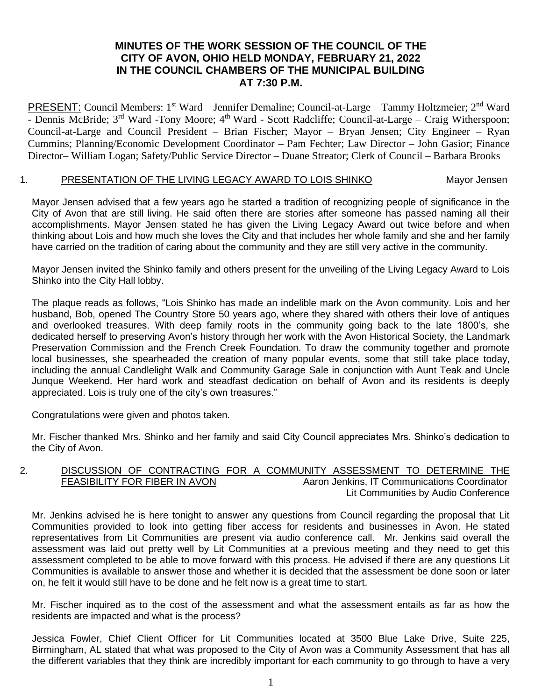# **MINUTES OF THE WORK SESSION OF THE COUNCIL OF THE CITY OF AVON, OHIO HELD MONDAY, FEBRUARY 21, 2022 IN THE COUNCIL CHAMBERS OF THE MUNICIPAL BUILDING AT 7:30 P.M.**

PRESENT: Council Members: 1<sup>st</sup> Ward – Jennifer Demaline; Council-at-Large – Tammy Holtzmeier; 2<sup>nd</sup> Ward - Dennis McBride; 3<sup>rd</sup> Ward -Tony Moore; 4<sup>th</sup> Ward - Scott Radcliffe; Council-at-Large – Craig Witherspoon; Council-at-Large and Council President – Brian Fischer; Mayor – Bryan Jensen; City Engineer – Ryan Cummins; Planning/Economic Development Coordinator – Pam Fechter; Law Director – John Gasior; Finance Director– William Logan; Safety/Public Service Director – Duane Streator; Clerk of Council – Barbara Brooks

#### 1. PRESENTATION OF THE LIVING LEGACY AWARD TO LOIS SHINKO Mayor Jensen

Mayor Jensen advised that a few years ago he started a tradition of recognizing people of significance in the City of Avon that are still living. He said often there are stories after someone has passed naming all their accomplishments. Mayor Jensen stated he has given the Living Legacy Award out twice before and when thinking about Lois and how much she loves the City and that includes her whole family and she and her family have carried on the tradition of caring about the community and they are still very active in the community.

Mayor Jensen invited the Shinko family and others present for the unveiling of the Living Legacy Award to Lois Shinko into the City Hall lobby.

The plaque reads as follows, "Lois Shinko has made an indelible mark on the Avon community. Lois and her husband, Bob, opened The Country Store 50 years ago, where they shared with others their love of antiques and overlooked treasures. With deep family roots in the community going back to the late 1800's, she dedicated herself to preserving Avon's history through her work with the Avon Historical Society, the Landmark Preservation Commission and the French Creek Foundation. To draw the community together and promote local businesses, she spearheaded the creation of many popular events, some that still take place today, including the annual Candlelight Walk and Community Garage Sale in conjunction with Aunt Teak and Uncle Junque Weekend. Her hard work and steadfast dedication on behalf of Avon and its residents is deeply appreciated. Lois is truly one of the city's own treasures."

Congratulations were given and photos taken.

Mr. Fischer thanked Mrs. Shinko and her family and said City Council appreciates Mrs. Shinko's dedication to the City of Avon.

#### 2. DISCUSSION OF CONTRACTING FOR A COMMUNITY ASSESSMENT TO DETERMINE THE FEASIBILITY FOR FIBER IN AVON And Aaron Jenkins, IT Communications Coordinator Lit Communities by Audio Conference

Mr. Jenkins advised he is here tonight to answer any questions from Council regarding the proposal that Lit Communities provided to look into getting fiber access for residents and businesses in Avon. He stated representatives from Lit Communities are present via audio conference call. Mr. Jenkins said overall the assessment was laid out pretty well by Lit Communities at a previous meeting and they need to get this assessment completed to be able to move forward with this process. He advised if there are any questions Lit Communities is available to answer those and whether it is decided that the assessment be done soon or later on, he felt it would still have to be done and he felt now is a great time to start.

Mr. Fischer inquired as to the cost of the assessment and what the assessment entails as far as how the residents are impacted and what is the process?

Jessica Fowler, Chief Client Officer for Lit Communities located at 3500 Blue Lake Drive, Suite 225, Birmingham, AL stated that what was proposed to the City of Avon was a Community Assessment that has all the different variables that they think are incredibly important for each community to go through to have a very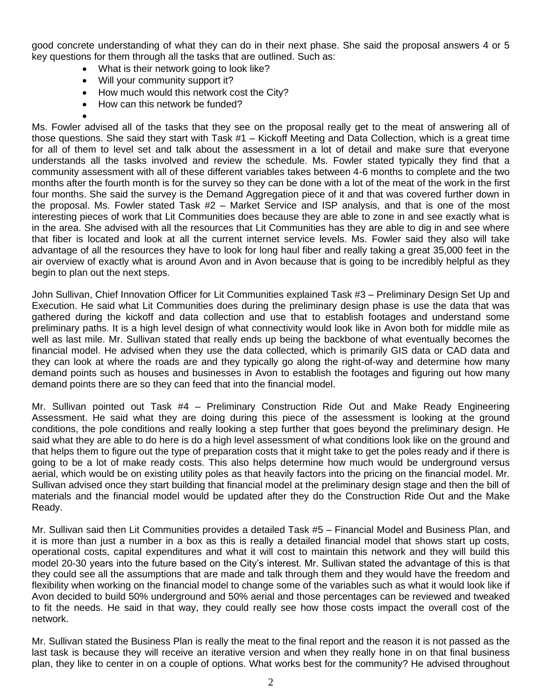good concrete understanding of what they can do in their next phase. She said the proposal answers 4 or 5 key questions for them through all the tasks that are outlined. Such as:

- What is their network going to look like?
- Will your community support it?
- How much would this network cost the City?
- How can this network be funded?

•

Ms. Fowler advised all of the tasks that they see on the proposal really get to the meat of answering all of those questions. She said they start with Task #1 – Kickoff Meeting and Data Collection, which is a great time for all of them to level set and talk about the assessment in a lot of detail and make sure that everyone understands all the tasks involved and review the schedule. Ms. Fowler stated typically they find that a community assessment with all of these different variables takes between 4-6 months to complete and the two months after the fourth month is for the survey so they can be done with a lot of the meat of the work in the first four months. She said the survey is the Demand Aggregation piece of it and that was covered further down in the proposal. Ms. Fowler stated Task #2 – Market Service and ISP analysis, and that is one of the most interesting pieces of work that Lit Communities does because they are able to zone in and see exactly what is in the area. She advised with all the resources that Lit Communities has they are able to dig in and see where that fiber is located and look at all the current internet service levels. Ms. Fowler said they also will take advantage of all the resources they have to look for long haul fiber and really taking a great 35,000 feet in the air overview of exactly what is around Avon and in Avon because that is going to be incredibly helpful as they begin to plan out the next steps.

John Sullivan, Chief Innovation Officer for Lit Communities explained Task #3 – Preliminary Design Set Up and Execution. He said what Lit Communities does during the preliminary design phase is use the data that was gathered during the kickoff and data collection and use that to establish footages and understand some preliminary paths. It is a high level design of what connectivity would look like in Avon both for middle mile as well as last mile. Mr. Sullivan stated that really ends up being the backbone of what eventually becomes the financial model. He advised when they use the data collected, which is primarily GIS data or CAD data and they can look at where the roads are and they typically go along the right-of-way and determine how many demand points such as houses and businesses in Avon to establish the footages and figuring out how many demand points there are so they can feed that into the financial model.

Mr. Sullivan pointed out Task #4 – Preliminary Construction Ride Out and Make Ready Engineering Assessment. He said what they are doing during this piece of the assessment is looking at the ground conditions, the pole conditions and really looking a step further that goes beyond the preliminary design. He said what they are able to do here is do a high level assessment of what conditions look like on the ground and that helps them to figure out the type of preparation costs that it might take to get the poles ready and if there is going to be a lot of make ready costs. This also helps determine how much would be underground versus aerial, which would be on existing utility poles as that heavily factors into the pricing on the financial model. Mr. Sullivan advised once they start building that financial model at the preliminary design stage and then the bill of materials and the financial model would be updated after they do the Construction Ride Out and the Make Ready.

Mr. Sullivan said then Lit Communities provides a detailed Task #5 – Financial Model and Business Plan, and it is more than just a number in a box as this is really a detailed financial model that shows start up costs, operational costs, capital expenditures and what it will cost to maintain this network and they will build this model 20-30 years into the future based on the City's interest. Mr. Sullivan stated the advantage of this is that they could see all the assumptions that are made and talk through them and they would have the freedom and flexibility when working on the financial model to change some of the variables such as what it would look like if Avon decided to build 50% underground and 50% aerial and those percentages can be reviewed and tweaked to fit the needs. He said in that way, they could really see how those costs impact the overall cost of the network.

Mr. Sullivan stated the Business Plan is really the meat to the final report and the reason it is not passed as the last task is because they will receive an iterative version and when they really hone in on that final business plan, they like to center in on a couple of options. What works best for the community? He advised throughout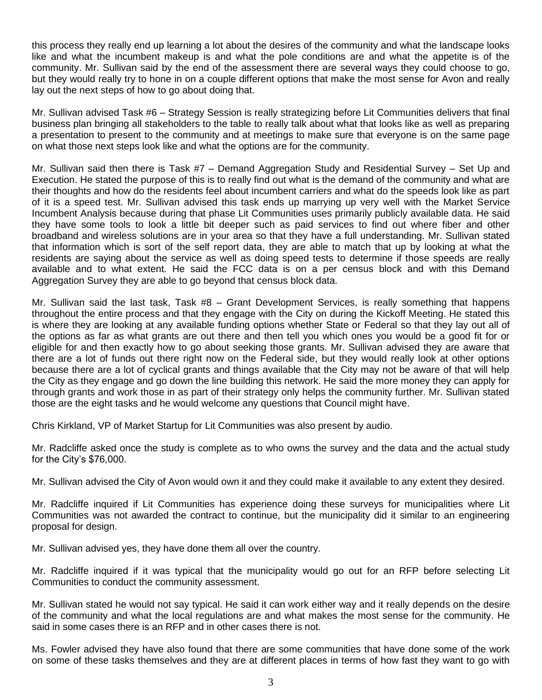this process they really end up learning a lot about the desires of the community and what the landscape looks like and what the incumbent makeup is and what the pole conditions are and what the appetite is of the community. Mr. Sullivan said by the end of the assessment there are several ways they could choose to go, but they would really try to hone in on a couple different options that make the most sense for Avon and really lay out the next steps of how to go about doing that.

Mr. Sullivan advised Task #6 – Strategy Session is really strategizing before Lit Communities delivers that final business plan bringing all stakeholders to the table to really talk about what that looks like as well as preparing a presentation to present to the community and at meetings to make sure that everyone is on the same page on what those next steps look like and what the options are for the community.

Mr. Sullivan said then there is Task #7 – Demand Aggregation Study and Residential Survey – Set Up and Execution. He stated the purpose of this is to really find out what is the demand of the community and what are their thoughts and how do the residents feel about incumbent carriers and what do the speeds look like as part of it is a speed test. Mr. Sullivan advised this task ends up marrying up very well with the Market Service Incumbent Analysis because during that phase Lit Communities uses primarily publicly available data. He said they have some tools to look a little bit deeper such as paid services to find out where fiber and other broadband and wireless solutions are in your area so that they have a full understanding. Mr. Sullivan stated that information which is sort of the self report data, they are able to match that up by looking at what the residents are saying about the service as well as doing speed tests to determine if those speeds are really available and to what extent. He said the FCC data is on a per census block and with this Demand Aggregation Survey they are able to go beyond that census block data.

Mr. Sullivan said the last task, Task #8 – Grant Development Services, is really something that happens throughout the entire process and that they engage with the City on during the Kickoff Meeting. He stated this is where they are looking at any available funding options whether State or Federal so that they lay out all of the options as far as what grants are out there and then tell you which ones you would be a good fit for or eligible for and then exactly how to go about seeking those grants. Mr. Sullivan advised they are aware that there are a lot of funds out there right now on the Federal side, but they would really look at other options because there are a lot of cyclical grants and things available that the City may not be aware of that will help the City as they engage and go down the line building this network. He said the more money they can apply for through grants and work those in as part of their strategy only helps the community further. Mr. Sullivan stated those are the eight tasks and he would welcome any questions that Council might have.

Chris Kirkland, VP of Market Startup for Lit Communities was also present by audio.

Mr. Radcliffe asked once the study is complete as to who owns the survey and the data and the actual study for the City's \$76,000.

Mr. Sullivan advised the City of Avon would own it and they could make it available to any extent they desired.

Mr. Radcliffe inquired if Lit Communities has experience doing these surveys for municipalities where Lit Communities was not awarded the contract to continue, but the municipality did it similar to an engineering proposal for design.

Mr. Sullivan advised yes, they have done them all over the country.

Mr. Radcliffe inquired if it was typical that the municipality would go out for an RFP before selecting Lit Communities to conduct the community assessment.

Mr. Sullivan stated he would not say typical. He said it can work either way and it really depends on the desire of the community and what the local regulations are and what makes the most sense for the community. He said in some cases there is an RFP and in other cases there is not.

Ms. Fowler advised they have also found that there are some communities that have done some of the work on some of these tasks themselves and they are at different places in terms of how fast they want to go with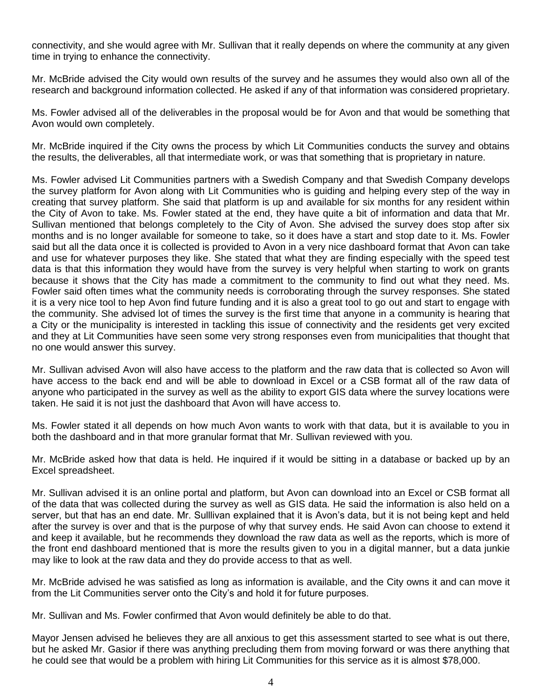connectivity, and she would agree with Mr. Sullivan that it really depends on where the community at any given time in trying to enhance the connectivity.

Mr. McBride advised the City would own results of the survey and he assumes they would also own all of the research and background information collected. He asked if any of that information was considered proprietary.

Ms. Fowler advised all of the deliverables in the proposal would be for Avon and that would be something that Avon would own completely.

Mr. McBride inquired if the City owns the process by which Lit Communities conducts the survey and obtains the results, the deliverables, all that intermediate work, or was that something that is proprietary in nature.

Ms. Fowler advised Lit Communities partners with a Swedish Company and that Swedish Company develops the survey platform for Avon along with Lit Communities who is guiding and helping every step of the way in creating that survey platform. She said that platform is up and available for six months for any resident within the City of Avon to take. Ms. Fowler stated at the end, they have quite a bit of information and data that Mr. Sullivan mentioned that belongs completely to the City of Avon. She advised the survey does stop after six months and is no longer available for someone to take, so it does have a start and stop date to it. Ms. Fowler said but all the data once it is collected is provided to Avon in a very nice dashboard format that Avon can take and use for whatever purposes they like. She stated that what they are finding especially with the speed test data is that this information they would have from the survey is very helpful when starting to work on grants because it shows that the City has made a commitment to the community to find out what they need. Ms. Fowler said often times what the community needs is corroborating through the survey responses. She stated it is a very nice tool to hep Avon find future funding and it is also a great tool to go out and start to engage with the community. She advised lot of times the survey is the first time that anyone in a community is hearing that a City or the municipality is interested in tackling this issue of connectivity and the residents get very excited and they at Lit Communities have seen some very strong responses even from municipalities that thought that no one would answer this survey.

Mr. Sullivan advised Avon will also have access to the platform and the raw data that is collected so Avon will have access to the back end and will be able to download in Excel or a CSB format all of the raw data of anyone who participated in the survey as well as the ability to export GIS data where the survey locations were taken. He said it is not just the dashboard that Avon will have access to.

Ms. Fowler stated it all depends on how much Avon wants to work with that data, but it is available to you in both the dashboard and in that more granular format that Mr. Sullivan reviewed with you.

Mr. McBride asked how that data is held. He inquired if it would be sitting in a database or backed up by an Excel spreadsheet.

Mr. Sullivan advised it is an online portal and platform, but Avon can download into an Excel or CSB format all of the data that was collected during the survey as well as GIS data. He said the information is also held on a server, but that has an end date. Mr. Sulllivan explained that it is Avon's data, but it is not being kept and held after the survey is over and that is the purpose of why that survey ends. He said Avon can choose to extend it and keep it available, but he recommends they download the raw data as well as the reports, which is more of the front end dashboard mentioned that is more the results given to you in a digital manner, but a data junkie may like to look at the raw data and they do provide access to that as well.

Mr. McBride advised he was satisfied as long as information is available, and the City owns it and can move it from the Lit Communities server onto the City's and hold it for future purposes.

Mr. Sullivan and Ms. Fowler confirmed that Avon would definitely be able to do that.

Mayor Jensen advised he believes they are all anxious to get this assessment started to see what is out there, but he asked Mr. Gasior if there was anything precluding them from moving forward or was there anything that he could see that would be a problem with hiring Lit Communities for this service as it is almost \$78,000.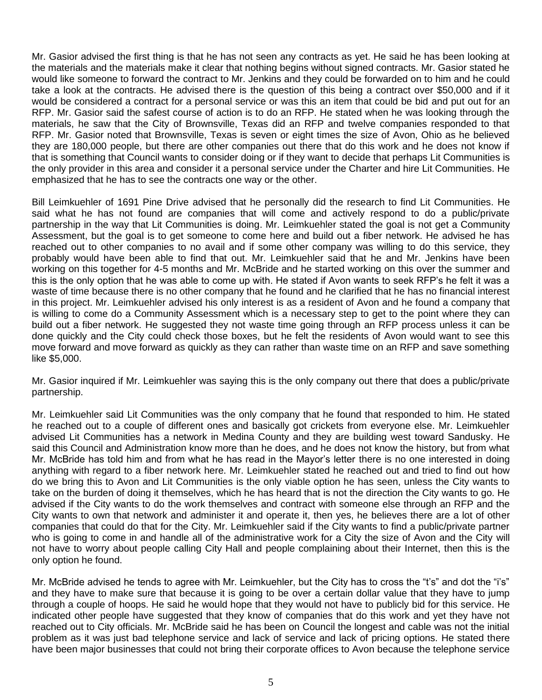Mr. Gasior advised the first thing is that he has not seen any contracts as yet. He said he has been looking at the materials and the materials make it clear that nothing begins without signed contracts. Mr. Gasior stated he would like someone to forward the contract to Mr. Jenkins and they could be forwarded on to him and he could take a look at the contracts. He advised there is the question of this being a contract over \$50,000 and if it would be considered a contract for a personal service or was this an item that could be bid and put out for an RFP. Mr. Gasior said the safest course of action is to do an RFP. He stated when he was looking through the materials, he saw that the City of Brownsville, Texas did an RFP and twelve companies responded to that RFP. Mr. Gasior noted that Brownsville, Texas is seven or eight times the size of Avon, Ohio as he believed they are 180,000 people, but there are other companies out there that do this work and he does not know if that is something that Council wants to consider doing or if they want to decide that perhaps Lit Communities is the only provider in this area and consider it a personal service under the Charter and hire Lit Communities. He emphasized that he has to see the contracts one way or the other.

Bill Leimkuehler of 1691 Pine Drive advised that he personally did the research to find Lit Communities. He said what he has not found are companies that will come and actively respond to do a public/private partnership in the way that Lit Communities is doing. Mr. Leimkuehler stated the goal is not get a Community Assessment, but the goal is to get someone to come here and build out a fiber network. He advised he has reached out to other companies to no avail and if some other company was willing to do this service, they probably would have been able to find that out. Mr. Leimkuehler said that he and Mr. Jenkins have been working on this together for 4-5 months and Mr. McBride and he started working on this over the summer and this is the only option that he was able to come up with. He stated if Avon wants to seek RFP's he felt it was a waste of time because there is no other company that he found and he clarified that he has no financial interest in this project. Mr. Leimkuehler advised his only interest is as a resident of Avon and he found a company that is willing to come do a Community Assessment which is a necessary step to get to the point where they can build out a fiber network. He suggested they not waste time going through an RFP process unless it can be done quickly and the City could check those boxes, but he felt the residents of Avon would want to see this move forward and move forward as quickly as they can rather than waste time on an RFP and save something like \$5,000.

Mr. Gasior inquired if Mr. Leimkuehler was saying this is the only company out there that does a public/private partnership.

Mr. Leimkuehler said Lit Communities was the only company that he found that responded to him. He stated he reached out to a couple of different ones and basically got crickets from everyone else. Mr. Leimkuehler advised Lit Communities has a network in Medina County and they are building west toward Sandusky. He said this Council and Administration know more than he does, and he does not know the history, but from what Mr. McBride has told him and from what he has read in the Mayor's letter there is no one interested in doing anything with regard to a fiber network here. Mr. Leimkuehler stated he reached out and tried to find out how do we bring this to Avon and Lit Communities is the only viable option he has seen, unless the City wants to take on the burden of doing it themselves, which he has heard that is not the direction the City wants to go. He advised if the City wants to do the work themselves and contract with someone else through an RFP and the City wants to own that network and administer it and operate it, then yes, he believes there are a lot of other companies that could do that for the City. Mr. Leimkuehler said if the City wants to find a public/private partner who is going to come in and handle all of the administrative work for a City the size of Avon and the City will not have to worry about people calling City Hall and people complaining about their Internet, then this is the only option he found.

Mr. McBride advised he tends to agree with Mr. Leimkuehler, but the City has to cross the "t's" and dot the "i's" and they have to make sure that because it is going to be over a certain dollar value that they have to jump through a couple of hoops. He said he would hope that they would not have to publicly bid for this service. He indicated other people have suggested that they know of companies that do this work and yet they have not reached out to City officials. Mr. McBride said he has been on Council the longest and cable was not the initial problem as it was just bad telephone service and lack of service and lack of pricing options. He stated there have been major businesses that could not bring their corporate offices to Avon because the telephone service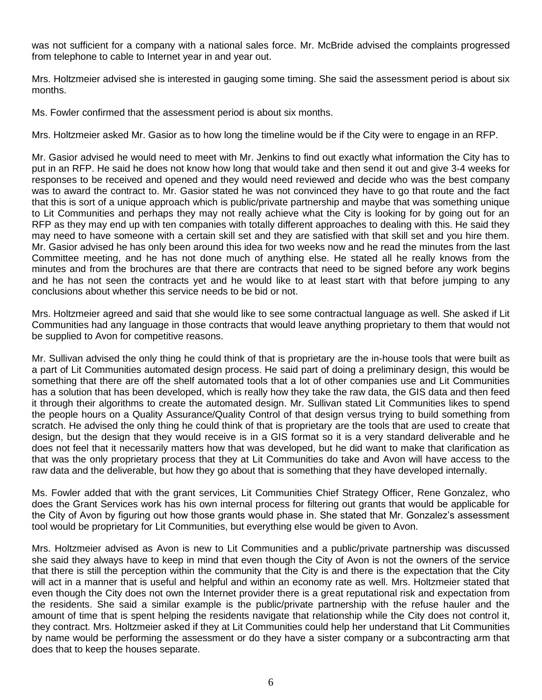was not sufficient for a company with a national sales force. Mr. McBride advised the complaints progressed from telephone to cable to Internet year in and year out.

Mrs. Holtzmeier advised she is interested in gauging some timing. She said the assessment period is about six months.

Ms. Fowler confirmed that the assessment period is about six months.

Mrs. Holtzmeier asked Mr. Gasior as to how long the timeline would be if the City were to engage in an RFP.

Mr. Gasior advised he would need to meet with Mr. Jenkins to find out exactly what information the City has to put in an RFP. He said he does not know how long that would take and then send it out and give 3-4 weeks for responses to be received and opened and they would need reviewed and decide who was the best company was to award the contract to. Mr. Gasior stated he was not convinced they have to go that route and the fact that this is sort of a unique approach which is public/private partnership and maybe that was something unique to Lit Communities and perhaps they may not really achieve what the City is looking for by going out for an RFP as they may end up with ten companies with totally different approaches to dealing with this. He said they may need to have someone with a certain skill set and they are satisfied with that skill set and you hire them. Mr. Gasior advised he has only been around this idea for two weeks now and he read the minutes from the last Committee meeting, and he has not done much of anything else. He stated all he really knows from the minutes and from the brochures are that there are contracts that need to be signed before any work begins and he has not seen the contracts yet and he would like to at least start with that before jumping to any conclusions about whether this service needs to be bid or not.

Mrs. Holtzmeier agreed and said that she would like to see some contractual language as well. She asked if Lit Communities had any language in those contracts that would leave anything proprietary to them that would not be supplied to Avon for competitive reasons.

Mr. Sullivan advised the only thing he could think of that is proprietary are the in-house tools that were built as a part of Lit Communities automated design process. He said part of doing a preliminary design, this would be something that there are off the shelf automated tools that a lot of other companies use and Lit Communities has a solution that has been developed, which is really how they take the raw data, the GIS data and then feed it through their algorithms to create the automated design. Mr. Sullivan stated Lit Communities likes to spend the people hours on a Quality Assurance/Quality Control of that design versus trying to build something from scratch. He advised the only thing he could think of that is proprietary are the tools that are used to create that design, but the design that they would receive is in a GIS format so it is a very standard deliverable and he does not feel that it necessarily matters how that was developed, but he did want to make that clarification as that was the only proprietary process that they at Lit Communities do take and Avon will have access to the raw data and the deliverable, but how they go about that is something that they have developed internally.

Ms. Fowler added that with the grant services, Lit Communities Chief Strategy Officer, Rene Gonzalez, who does the Grant Services work has his own internal process for filtering out grants that would be applicable for the City of Avon by figuring out how those grants would phase in. She stated that Mr. Gonzalez's assessment tool would be proprietary for Lit Communities, but everything else would be given to Avon.

Mrs. Holtzmeier advised as Avon is new to Lit Communities and a public/private partnership was discussed she said they always have to keep in mind that even though the City of Avon is not the owners of the service that there is still the perception within the community that the City is and there is the expectation that the City will act in a manner that is useful and helpful and within an economy rate as well. Mrs. Holtzmeier stated that even though the City does not own the Internet provider there is a great reputational risk and expectation from the residents. She said a similar example is the public/private partnership with the refuse hauler and the amount of time that is spent helping the residents navigate that relationship while the City does not control it, they contract. Mrs. Holtzmeier asked if they at Lit Communities could help her understand that Lit Communities by name would be performing the assessment or do they have a sister company or a subcontracting arm that does that to keep the houses separate.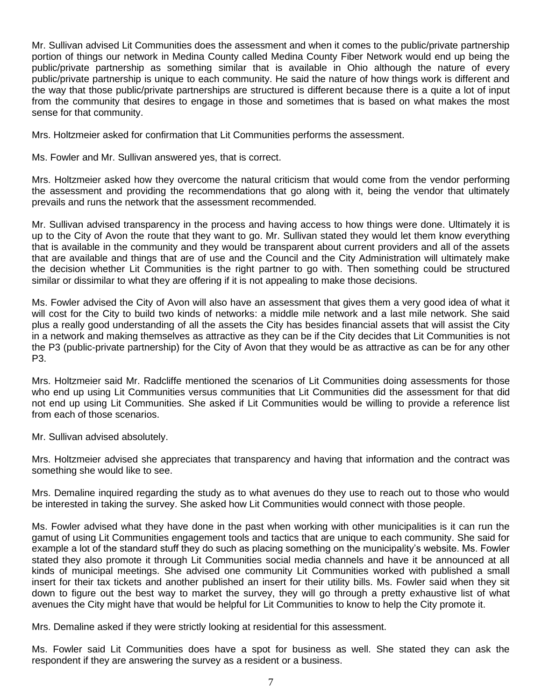Mr. Sullivan advised Lit Communities does the assessment and when it comes to the public/private partnership portion of things our network in Medina County called Medina County Fiber Network would end up being the public/private partnership as something similar that is available in Ohio although the nature of every public/private partnership is unique to each community. He said the nature of how things work is different and the way that those public/private partnerships are structured is different because there is a quite a lot of input from the community that desires to engage in those and sometimes that is based on what makes the most sense for that community.

Mrs. Holtzmeier asked for confirmation that Lit Communities performs the assessment.

Ms. Fowler and Mr. Sullivan answered yes, that is correct.

Mrs. Holtzmeier asked how they overcome the natural criticism that would come from the vendor performing the assessment and providing the recommendations that go along with it, being the vendor that ultimately prevails and runs the network that the assessment recommended.

Mr. Sullivan advised transparency in the process and having access to how things were done. Ultimately it is up to the City of Avon the route that they want to go. Mr. Sullivan stated they would let them know everything that is available in the community and they would be transparent about current providers and all of the assets that are available and things that are of use and the Council and the City Administration will ultimately make the decision whether Lit Communities is the right partner to go with. Then something could be structured similar or dissimilar to what they are offering if it is not appealing to make those decisions.

Ms. Fowler advised the City of Avon will also have an assessment that gives them a very good idea of what it will cost for the City to build two kinds of networks: a middle mile network and a last mile network. She said plus a really good understanding of all the assets the City has besides financial assets that will assist the City in a network and making themselves as attractive as they can be if the City decides that Lit Communities is not the P3 (public-private partnership) for the City of Avon that they would be as attractive as can be for any other P3.

Mrs. Holtzmeier said Mr. Radcliffe mentioned the scenarios of Lit Communities doing assessments for those who end up using Lit Communities versus communities that Lit Communities did the assessment for that did not end up using Lit Communities. She asked if Lit Communities would be willing to provide a reference list from each of those scenarios.

Mr. Sullivan advised absolutely.

Mrs. Holtzmeier advised she appreciates that transparency and having that information and the contract was something she would like to see.

Mrs. Demaline inquired regarding the study as to what avenues do they use to reach out to those who would be interested in taking the survey. She asked how Lit Communities would connect with those people.

Ms. Fowler advised what they have done in the past when working with other municipalities is it can run the gamut of using Lit Communities engagement tools and tactics that are unique to each community. She said for example a lot of the standard stuff they do such as placing something on the municipality's website. Ms. Fowler stated they also promote it through Lit Communities social media channels and have it be announced at all kinds of municipal meetings. She advised one community Lit Communities worked with published a small insert for their tax tickets and another published an insert for their utility bills. Ms. Fowler said when they sit down to figure out the best way to market the survey, they will go through a pretty exhaustive list of what avenues the City might have that would be helpful for Lit Communities to know to help the City promote it.

Mrs. Demaline asked if they were strictly looking at residential for this assessment.

Ms. Fowler said Lit Communities does have a spot for business as well. She stated they can ask the respondent if they are answering the survey as a resident or a business.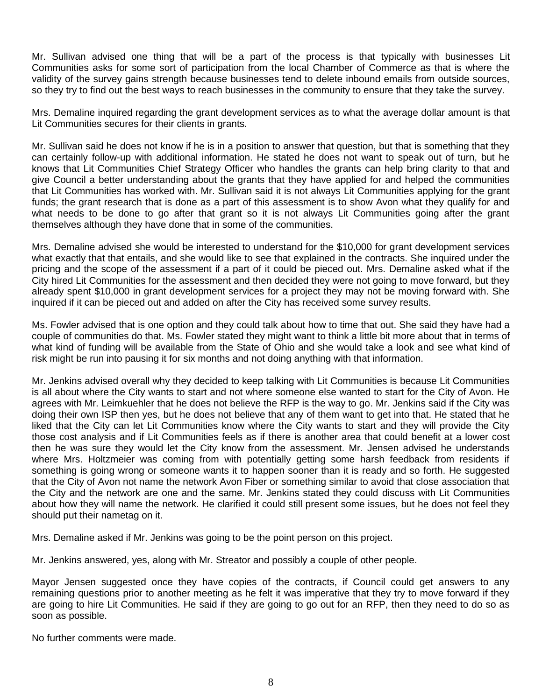Mr. Sullivan advised one thing that will be a part of the process is that typically with businesses Lit Communities asks for some sort of participation from the local Chamber of Commerce as that is where the validity of the survey gains strength because businesses tend to delete inbound emails from outside sources, so they try to find out the best ways to reach businesses in the community to ensure that they take the survey.

Mrs. Demaline inquired regarding the grant development services as to what the average dollar amount is that Lit Communities secures for their clients in grants.

Mr. Sullivan said he does not know if he is in a position to answer that question, but that is something that they can certainly follow-up with additional information. He stated he does not want to speak out of turn, but he knows that Lit Communities Chief Strategy Officer who handles the grants can help bring clarity to that and give Council a better understanding about the grants that they have applied for and helped the communities that Lit Communities has worked with. Mr. Sullivan said it is not always Lit Communities applying for the grant funds; the grant research that is done as a part of this assessment is to show Avon what they qualify for and what needs to be done to go after that grant so it is not always Lit Communities going after the grant themselves although they have done that in some of the communities.

Mrs. Demaline advised she would be interested to understand for the \$10,000 for grant development services what exactly that that entails, and she would like to see that explained in the contracts. She inquired under the pricing and the scope of the assessment if a part of it could be pieced out. Mrs. Demaline asked what if the City hired Lit Communities for the assessment and then decided they were not going to move forward, but they already spent \$10,000 in grant development services for a project they may not be moving forward with. She inquired if it can be pieced out and added on after the City has received some survey results.

Ms. Fowler advised that is one option and they could talk about how to time that out. She said they have had a couple of communities do that. Ms. Fowler stated they might want to think a little bit more about that in terms of what kind of funding will be available from the State of Ohio and she would take a look and see what kind of risk might be run into pausing it for six months and not doing anything with that information.

Mr. Jenkins advised overall why they decided to keep talking with Lit Communities is because Lit Communities is all about where the City wants to start and not where someone else wanted to start for the City of Avon. He agrees with Mr. Leimkuehler that he does not believe the RFP is the way to go. Mr. Jenkins said if the City was doing their own ISP then yes, but he does not believe that any of them want to get into that. He stated that he liked that the City can let Lit Communities know where the City wants to start and they will provide the City those cost analysis and if Lit Communities feels as if there is another area that could benefit at a lower cost then he was sure they would let the City know from the assessment. Mr. Jensen advised he understands where Mrs. Holtzmeier was coming from with potentially getting some harsh feedback from residents if something is going wrong or someone wants it to happen sooner than it is ready and so forth. He suggested that the City of Avon not name the network Avon Fiber or something similar to avoid that close association that the City and the network are one and the same. Mr. Jenkins stated they could discuss with Lit Communities about how they will name the network. He clarified it could still present some issues, but he does not feel they should put their nametag on it.

Mrs. Demaline asked if Mr. Jenkins was going to be the point person on this project.

Mr. Jenkins answered, yes, along with Mr. Streator and possibly a couple of other people.

Mayor Jensen suggested once they have copies of the contracts, if Council could get answers to any remaining questions prior to another meeting as he felt it was imperative that they try to move forward if they are going to hire Lit Communities. He said if they are going to go out for an RFP, then they need to do so as soon as possible.

No further comments were made.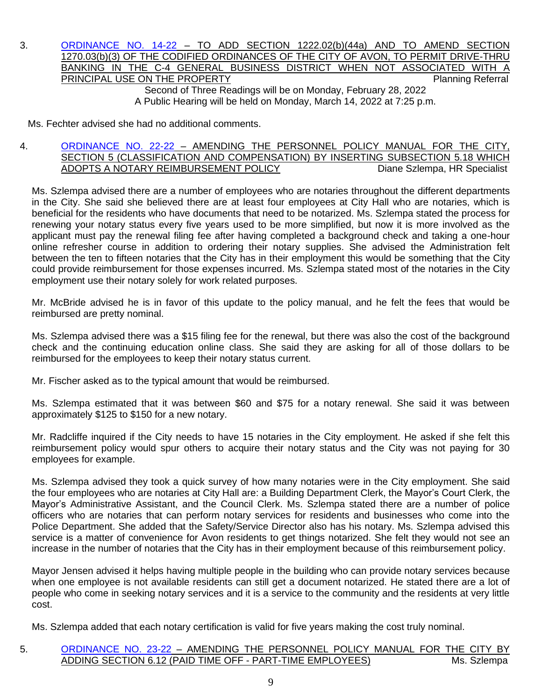3. [ORDINANCE NO. 14-22](https://www.cityofavon.com/DocumentCenter/View/7612/Ordinance-No-14-22-Drive-thru-Teller-Legislation) – TO ADD SECTION 1222.02(b)(44a) AND TO AMEND SECTION 1270.03(b)(3) OF THE CODIFIED ORDINANCES OF THE CITY OF AVON, TO PERMIT DRIVE-THRU BANKING IN THE C-4 GENERAL BUSINESS DISTRICT WHEN NOT ASSOCIATED WITH A PRINCIPAL USE ON THE PROPERTY **PRINCIPAL USE ON THE PROPERTY** Second of Three Readings will be on Monday, February 28, 2022 A Public Hearing will be held on Monday, March 14, 2022 at 7:25 p.m.

Ms. Fechter advised she had no additional comments.

#### 4. [ORDINANCE NO. 22-22](https://www.cityofavon.com/DocumentCenter/View/7629/Ordinance-No-22-22-Amend-Personnel-Pol-Man-518-Notary-Public) – AMENDING THE PERSONNEL POLICY MANUAL FOR THE CITY, SECTION 5 (CLASSIFICATION AND COMPENSATION) BY INSERTING SUBSECTION 5.18 WHICH ADOPTS A NOTARY REIMBURSEMENT POLICY Diane Szlempa, HR Specialist

Ms. Szlempa advised there are a number of employees who are notaries throughout the different departments in the City. She said she believed there are at least four employees at City Hall who are notaries, which is beneficial for the residents who have documents that need to be notarized. Ms. Szlempa stated the process for renewing your notary status every five years used to be more simplified, but now it is more involved as the applicant must pay the renewal filing fee after having completed a background check and taking a one-hour online refresher course in addition to ordering their notary supplies. She advised the Administration felt between the ten to fifteen notaries that the City has in their employment this would be something that the City could provide reimbursement for those expenses incurred. Ms. Szlempa stated most of the notaries in the City employment use their notary solely for work related purposes.

Mr. McBride advised he is in favor of this update to the policy manual, and he felt the fees that would be reimbursed are pretty nominal.

Ms. Szlempa advised there was a \$15 filing fee for the renewal, but there was also the cost of the background check and the continuing education online class. She said they are asking for all of those dollars to be reimbursed for the employees to keep their notary status current.

Mr. Fischer asked as to the typical amount that would be reimbursed.

Ms. Szlempa estimated that it was between \$60 and \$75 for a notary renewal. She said it was between approximately \$125 to \$150 for a new notary.

Mr. Radcliffe inquired if the City needs to have 15 notaries in the City employment. He asked if she felt this reimbursement policy would spur others to acquire their notary status and the City was not paying for 30 employees for example.

Ms. Szlempa advised they took a quick survey of how many notaries were in the City employment. She said the four employees who are notaries at City Hall are: a Building Department Clerk, the Mayor's Court Clerk, the Mayor's Administrative Assistant, and the Council Clerk. Ms. Szlempa stated there are a number of police officers who are notaries that can perform notary services for residents and businesses who come into the Police Department. She added that the Safety/Service Director also has his notary. Ms. Szlempa advised this service is a matter of convenience for Avon residents to get things notarized. She felt they would not see an increase in the number of notaries that the City has in their employment because of this reimbursement policy.

Mayor Jensen advised it helps having multiple people in the building who can provide notary services because when one employee is not available residents can still get a document notarized. He stated there are a lot of people who come in seeking notary services and it is a service to the community and the residents at very little cost.

Ms. Szlempa added that each notary certification is valid for five years making the cost truly nominal.

## 5. [ORDINANCE NO. 23-22](https://www.cityofavon.com/DocumentCenter/View/7630/Ordinance-No-23-22-Amend-Personnel-Pol-Man-612-PT-Time-Off) – AMENDING THE PERSONNEL POLICY MANUAL FOR THE CITY BY ADDING SECTION 6.12 (PAID TIME OFF - PART-TIME EMPLOYEES) Ms. Szlempa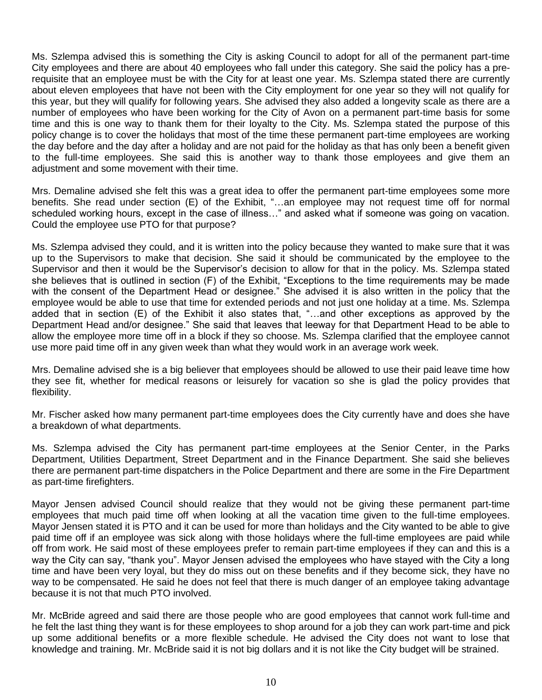Ms. Szlempa advised this is something the City is asking Council to adopt for all of the permanent part-time City employees and there are about 40 employees who fall under this category. She said the policy has a prerequisite that an employee must be with the City for at least one year. Ms. Szlempa stated there are currently about eleven employees that have not been with the City employment for one year so they will not qualify for this year, but they will qualify for following years. She advised they also added a longevity scale as there are a number of employees who have been working for the City of Avon on a permanent part-time basis for some time and this is one way to thank them for their loyalty to the City. Ms. Szlempa stated the purpose of this policy change is to cover the holidays that most of the time these permanent part-time employees are working the day before and the day after a holiday and are not paid for the holiday as that has only been a benefit given to the full-time employees. She said this is another way to thank those employees and give them an adiustment and some movement with their time.

Mrs. Demaline advised she felt this was a great idea to offer the permanent part-time employees some more benefits. She read under section (E) of the Exhibit, "…an employee may not request time off for normal scheduled working hours, except in the case of illness…" and asked what if someone was going on vacation. Could the employee use PTO for that purpose?

Ms. Szlempa advised they could, and it is written into the policy because they wanted to make sure that it was up to the Supervisors to make that decision. She said it should be communicated by the employee to the Supervisor and then it would be the Supervisor's decision to allow for that in the policy. Ms. Szlempa stated she believes that is outlined in section (F) of the Exhibit, "Exceptions to the time requirements may be made with the consent of the Department Head or designee." She advised it is also written in the policy that the employee would be able to use that time for extended periods and not just one holiday at a time. Ms. Szlempa added that in section (E) of the Exhibit it also states that, "…and other exceptions as approved by the Department Head and/or designee." She said that leaves that leeway for that Department Head to be able to allow the employee more time off in a block if they so choose. Ms. Szlempa clarified that the employee cannot use more paid time off in any given week than what they would work in an average work week.

Mrs. Demaline advised she is a big believer that employees should be allowed to use their paid leave time how they see fit, whether for medical reasons or leisurely for vacation so she is glad the policy provides that flexibility.

Mr. Fischer asked how many permanent part-time employees does the City currently have and does she have a breakdown of what departments.

Ms. Szlempa advised the City has permanent part-time employees at the Senior Center, in the Parks Department, Utilities Department, Street Department and in the Finance Department. She said she believes there are permanent part-time dispatchers in the Police Department and there are some in the Fire Department as part-time firefighters.

Mayor Jensen advised Council should realize that they would not be giving these permanent part-time employees that much paid time off when looking at all the vacation time given to the full-time employees. Mayor Jensen stated it is PTO and it can be used for more than holidays and the City wanted to be able to give paid time off if an employee was sick along with those holidays where the full-time employees are paid while off from work. He said most of these employees prefer to remain part-time employees if they can and this is a way the City can say, "thank you". Mayor Jensen advised the employees who have stayed with the City a long time and have been very loyal, but they do miss out on these benefits and if they become sick, they have no way to be compensated. He said he does not feel that there is much danger of an employee taking advantage because it is not that much PTO involved.

Mr. McBride agreed and said there are those people who are good employees that cannot work full-time and he felt the last thing they want is for these employees to shop around for a job they can work part-time and pick up some additional benefits or a more flexible schedule. He advised the City does not want to lose that knowledge and training. Mr. McBride said it is not big dollars and it is not like the City budget will be strained.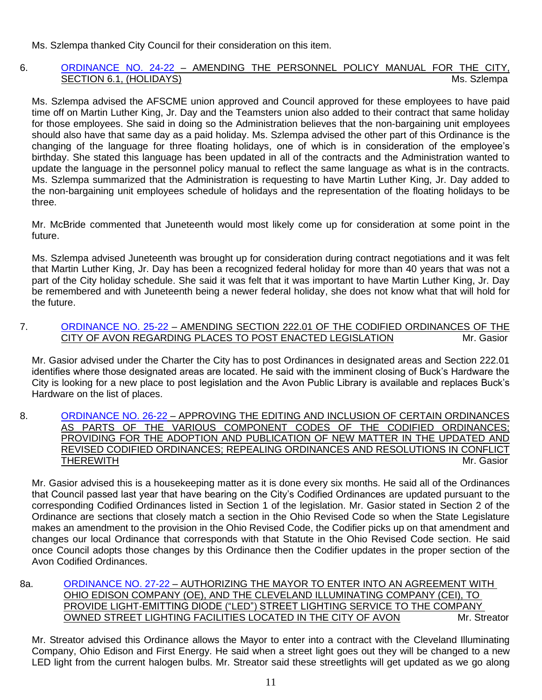Ms. Szlempa thanked City Council for their consideration on this item.

### 6. [ORDINANCE NO. 24-22](https://www.cityofavon.com/DocumentCenter/View/7631/Ordinance-No-24-22---Amend-Personnel-Pol-Man-61-Holidays) - AMENDING THE PERSONNEL POLICY MANUAL FOR THE CITY, SECTION 6.1, (HOLIDAYS) Ms. Szlempa

Ms. Szlempa advised the AFSCME union approved and Council approved for these employees to have paid time off on Martin Luther King, Jr. Day and the Teamsters union also added to their contract that same holiday for those employees. She said in doing so the Administration believes that the non-bargaining unit employees should also have that same day as a paid holiday. Ms. Szlempa advised the other part of this Ordinance is the changing of the language for three floating holidays, one of which is in consideration of the employee's birthday. She stated this language has been updated in all of the contracts and the Administration wanted to update the language in the personnel policy manual to reflect the same language as what is in the contracts. Ms. Szlempa summarized that the Administration is requesting to have Martin Luther King, Jr. Day added to the non-bargaining unit employees schedule of holidays and the representation of the floating holidays to be three.

Mr. McBride commented that Juneteenth would most likely come up for consideration at some point in the future.

Ms. Szlempa advised Juneteenth was brought up for consideration during contract negotiations and it was felt that Martin Luther King, Jr. Day has been a recognized federal holiday for more than 40 years that was not a part of the City holiday schedule. She said it was felt that it was important to have Martin Luther King, Jr. Day be remembered and with Juneteenth being a newer federal holiday, she does not know what that will hold for the future.

7. [ORDINANCE NO. 25-22](https://www.cityofavon.com/DocumentCenter/View/7632/Ordinance-No-25-22-Posting-Places) - AMENDING SECTION 222.01 OF THE CODIFIED ORDINANCES OF THE CITY OF AVON REGARDING PLACES TO POST ENACTED LEGISLATION Mr. Gasior

Mr. Gasior advised under the Charter the City has to post Ordinances in designated areas and Section 222.01 identifies where those designated areas are located. He said with the imminent closing of Buck's Hardware the City is looking for a new place to post legislation and the Avon Public Library is available and replaces Buck's Hardware on the list of places.

8. [ORDINANCE NO. 26-22](https://www.cityofavon.com/DocumentCenter/View/7633/Ordinance-No-26-22-Adopt-Cod-Ord_) – APPROVING THE EDITING AND INCLUSION OF CERTAIN ORDINANCES AS PARTS OF THE VARIOUS COMPONENT CODES OF THE CODIFIED ORDINANCES; PROVIDING FOR THE ADOPTION AND PUBLICATION OF NEW MATTER IN THE UPDATED AND REVISED CODIFIED ORDINANCES; REPEALING ORDINANCES AND RESOLUTIONS IN CONFLICT THEREWITH Mr. Gasior

Mr. Gasior advised this is a housekeeping matter as it is done every six months. He said all of the Ordinances that Council passed last year that have bearing on the City's Codified Ordinances are updated pursuant to the corresponding Codified Ordinances listed in Section 1 of the legislation. Mr. Gasior stated in Section 2 of the Ordinance are sections that closely match a section in the Ohio Revised Code so when the State Legislature makes an amendment to the provision in the Ohio Revised Code, the Codifier picks up on that amendment and changes our local Ordinance that corresponds with that Statute in the Ohio Revised Code section. He said once Council adopts those changes by this Ordinance then the Codifier updates in the proper section of the Avon Codified Ordinances.

8a. [ORDINANCE NO. 27-22](https://www.cityofavon.com/DocumentCenter/View/7639/Ordinance-No-27-22-CEI---LED-Street-Light-Ord_) – AUTHORIZING THE MAYOR TO ENTER INTO AN AGREEMENT WITH OHIO EDISON COMPANY (OE), AND THE CLEVELAND ILLUMINATING COMPANY (CEI), TO PROVIDE LIGHT-EMITTING DIODE ("LED") STREET LIGHTING SERVICE TO THE COMPANY OWNED STREET LIGHTING FACILITIES LOCATED IN THE CITY OF AVON Mr. Streator

Mr. Streator advised this Ordinance allows the Mayor to enter into a contract with the Cleveland Illuminating Company, Ohio Edison and First Energy. He said when a street light goes out they will be changed to a new LED light from the current halogen bulbs. Mr. Streator said these streetlights will get updated as we go along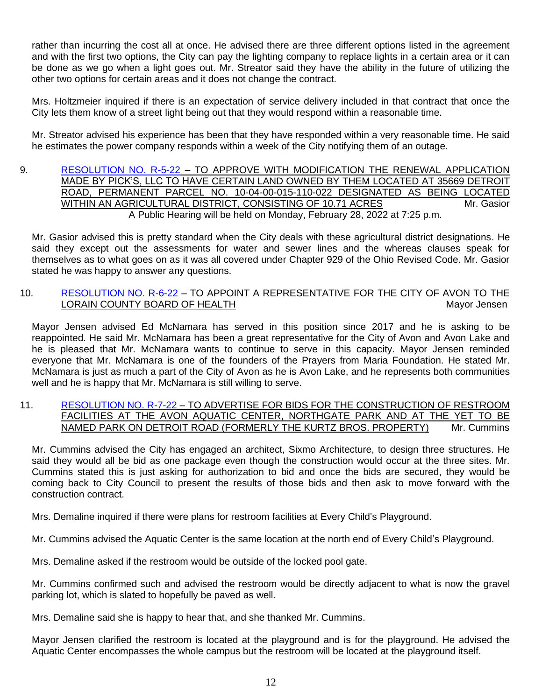rather than incurring the cost all at once. He advised there are three different options listed in the agreement and with the first two options, the City can pay the lighting company to replace lights in a certain area or it can be done as we go when a light goes out. Mr. Streator said they have the ability in the future of utilizing the other two options for certain areas and it does not change the contract.

Mrs. Holtzmeier inquired if there is an expectation of service delivery included in that contract that once the City lets them know of a street light being out that they would respond within a reasonable time.

Mr. Streator advised his experience has been that they have responded within a very reasonable time. He said he estimates the power company responds within a week of the City notifying them of an outage.

9. [RESOLUTION NO. R-5-22](https://www.cityofavon.com/DocumentCenter/View/7635/Resolution-No-R-5-22---Picks-LLC---Agr-Dist) – TO APPROVE WITH MODIFICATION THE RENEWAL APPLICATION MADE BY PICK'S, LLC TO HAVE CERTAIN LAND OWNED BY THEM LOCATED AT 35669 DETROIT ROAD, PERMANENT PARCEL NO. 10-04-00-015-110-022 DESIGNATED AS BEING LOCATED WITHIN AN AGRICULTURAL DISTRICT, CONSISTING OF 10.71 ACRES Mr. Gasior A Public Hearing will be held on Monday, February 28, 2022 at 7:25 p.m.

Mr. Gasior advised this is pretty standard when the City deals with these agricultural district designations. He said they except out the assessments for water and sewer lines and the whereas clauses speak for themselves as to what goes on as it was all covered under Chapter 929 of the Ohio Revised Code. Mr. Gasior stated he was happy to answer any questions.

### 10. [RESOLUTION NO. R-6-22](https://www.cityofavon.com/DocumentCenter/View/7636/Resolution-No-R-6-22-Lor-Cty-Bd-of-Health-Rep) – TO APPOINT A REPRESENTATIVE FOR THE CITY OF AVON TO THE LORAIN COUNTY BOARD OF HEALTH Mayor Jensen

Mayor Jensen advised Ed McNamara has served in this position since 2017 and he is asking to be reappointed. He said Mr. McNamara has been a great representative for the City of Avon and Avon Lake and he is pleased that Mr. McNamara wants to continue to serve in this capacity. Mayor Jensen reminded everyone that Mr. McNamara is one of the founders of the Prayers from Maria Foundation. He stated Mr. McNamara is just as much a part of the City of Avon as he is Avon Lake, and he represents both communities well and he is happy that Mr. McNamara is still willing to serve.

#### 11. [RESOLUTION NO. R-7-22](https://www.cityofavon.com/DocumentCenter/View/7637/Resolution-No-R-7-22---Ad-for-Bids---Park-Restrooms) – TO ADVERTISE FOR BIDS FOR THE CONSTRUCTION OF RESTROOM FACILITIES AT THE AVON AQUATIC CENTER, NORTHGATE PARK AND AT THE YET TO BE NAMED PARK ON DETROIT ROAD (FORMERLY THE KURTZ BROS. PROPERTY) Mr. Cummins

Mr. Cummins advised the City has engaged an architect, Sixmo Architecture, to design three structures. He said they would all be bid as one package even though the construction would occur at the three sites. Mr. Cummins stated this is just asking for authorization to bid and once the bids are secured, they would be coming back to City Council to present the results of those bids and then ask to move forward with the construction contract.

Mrs. Demaline inquired if there were plans for restroom facilities at Every Child's Playground.

Mr. Cummins advised the Aquatic Center is the same location at the north end of Every Child's Playground.

Mrs. Demaline asked if the restroom would be outside of the locked pool gate.

Mr. Cummins confirmed such and advised the restroom would be directly adjacent to what is now the gravel parking lot, which is slated to hopefully be paved as well.

Mrs. Demaline said she is happy to hear that, and she thanked Mr. Cummins.

Mayor Jensen clarified the restroom is located at the playground and is for the playground. He advised the Aquatic Center encompasses the whole campus but the restroom will be located at the playground itself.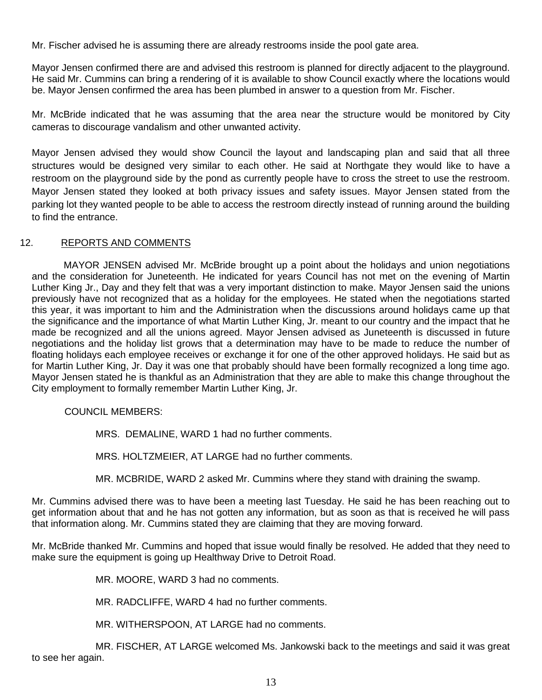Mr. Fischer advised he is assuming there are already restrooms inside the pool gate area.

Mayor Jensen confirmed there are and advised this restroom is planned for directly adjacent to the playground. He said Mr. Cummins can bring a rendering of it is available to show Council exactly where the locations would be. Mayor Jensen confirmed the area has been plumbed in answer to a question from Mr. Fischer.

Mr. McBride indicated that he was assuming that the area near the structure would be monitored by City cameras to discourage vandalism and other unwanted activity.

Mayor Jensen advised they would show Council the layout and landscaping plan and said that all three structures would be designed very similar to each other. He said at Northgate they would like to have a restroom on the playground side by the pond as currently people have to cross the street to use the restroom. Mayor Jensen stated they looked at both privacy issues and safety issues. Mayor Jensen stated from the parking lot they wanted people to be able to access the restroom directly instead of running around the building to find the entrance.

## 12. REPORTS AND COMMENTS

MAYOR JENSEN advised Mr. McBride brought up a point about the holidays and union negotiations and the consideration for Juneteenth. He indicated for years Council has not met on the evening of Martin Luther King Jr., Day and they felt that was a very important distinction to make. Mayor Jensen said the unions previously have not recognized that as a holiday for the employees. He stated when the negotiations started this year, it was important to him and the Administration when the discussions around holidays came up that the significance and the importance of what Martin Luther King, Jr. meant to our country and the impact that he made be recognized and all the unions agreed. Mayor Jensen advised as Juneteenth is discussed in future negotiations and the holiday list grows that a determination may have to be made to reduce the number of floating holidays each employee receives or exchange it for one of the other approved holidays. He said but as for Martin Luther King, Jr. Day it was one that probably should have been formally recognized a long time ago. Mayor Jensen stated he is thankful as an Administration that they are able to make this change throughout the City employment to formally remember Martin Luther King, Jr.

COUNCIL MEMBERS:

MRS. DEMALINE, WARD 1 had no further comments.

MRS. HOLTZMEIER, AT LARGE had no further comments.

MR. MCBRIDE, WARD 2 asked Mr. Cummins where they stand with draining the swamp.

Mr. Cummins advised there was to have been a meeting last Tuesday. He said he has been reaching out to get information about that and he has not gotten any information, but as soon as that is received he will pass that information along. Mr. Cummins stated they are claiming that they are moving forward.

Mr. McBride thanked Mr. Cummins and hoped that issue would finally be resolved. He added that they need to make sure the equipment is going up Healthway Drive to Detroit Road.

MR. MOORE, WARD 3 had no comments.

MR. RADCLIFFE, WARD 4 had no further comments.

MR. WITHERSPOON, AT LARGE had no comments.

MR. FISCHER, AT LARGE welcomed Ms. Jankowski back to the meetings and said it was great to see her again.